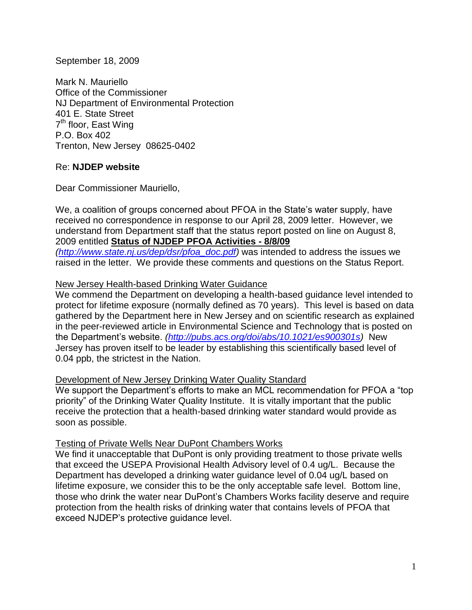### September 18, 2009

Mark N. Mauriello Office of the Commissioner NJ Department of Environmental Protection 401 E. State Street 7<sup>th</sup> floor, East Wing P.O. Box 402 Trenton, New Jersey 08625-0402

## Re: **NJDEP website**

Dear Commissioner Mauriello,

We, a coalition of groups concerned about PFOA in the State's water supply, have received no correspondence in response to our April 28, 2009 letter. However, we understand from Department staff that the status report posted on line on August 8, 2009 entitled **Status of NJDEP PFOA Activities - 8/8/09**

*[\(http://www.state.nj.us/dep/dsr/pfoa\\_doc.pdf\)](http://www.state.nj.us/dep/dsr/pfoa_doc.pdf)* was intended to address the issues we raised in the letter. We provide these comments and questions on the Status Report.

## New Jersey Health-based Drinking Water Guidance

We commend the Department on developing a health-based guidance level intended to protect for lifetime exposure (normally defined as 70 years). This level is based on data gathered by the Department here in New Jersey and on scientific research as explained in the peer-reviewed article in Environmental Science and Technology that is posted on the Department's website. *[\(http://pubs.acs.org/doi/abs/10.1021/es900301s\)](http://pubs.acs.org/doi/abs/10.1021/es900301s)* New Jersey has proven itself to be leader by establishing this scientifically based level of 0.04 ppb, the strictest in the Nation.

## Development of New Jersey Drinking Water Quality Standard

We support the Department's efforts to make an MCL recommendation for PFOA a "top" priority" of the Drinking Water Quality Institute. It is vitally important that the public receive the protection that a health-based drinking water standard would provide as soon as possible.

#### Testing of Private Wells Near DuPont Chambers Works

We find it unacceptable that DuPont is only providing treatment to those private wells that exceed the USEPA Provisional Health Advisory level of 0.4 ug/L. Because the Department has developed a drinking water guidance level of 0.04 ug/L based on lifetime exposure, we consider this to be the only acceptable safe level. Bottom line, those who drink the water near DuPont's Chambers Works facility deserve and require protection from the health risks of drinking water that contains levels of PFOA that exceed NJDEP's protective guidance level.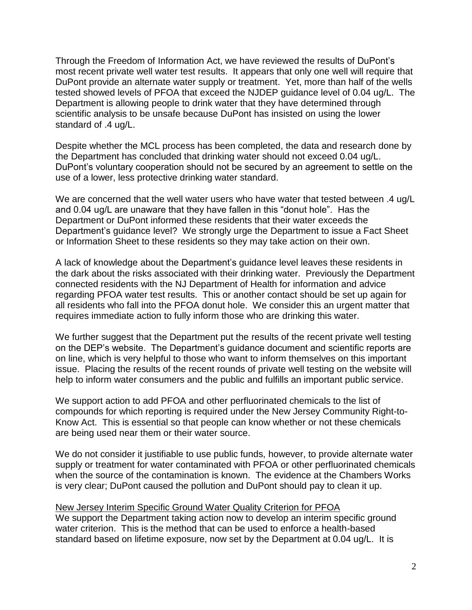Through the Freedom of Information Act, we have reviewed the results of DuPont's most recent private well water test results. It appears that only one well will require that DuPont provide an alternate water supply or treatment. Yet, more than half of the wells tested showed levels of PFOA that exceed the NJDEP guidance level of 0.04 ug/L. The Department is allowing people to drink water that they have determined through scientific analysis to be unsafe because DuPont has insisted on using the lower standard of .4 ug/L.

Despite whether the MCL process has been completed, the data and research done by the Department has concluded that drinking water should not exceed 0.04 ug/L. DuPont's voluntary cooperation should not be secured by an agreement to settle on the use of a lower, less protective drinking water standard.

We are concerned that the well water users who have water that tested between .4 ug/L and 0.04 ug/L are unaware that they have fallen in this "donut hole". Has the Department or DuPont informed these residents that their water exceeds the Department's guidance level? We strongly urge the Department to issue a Fact Sheet or Information Sheet to these residents so they may take action on their own.

A lack of knowledge about the Department's guidance level leaves these residents in the dark about the risks associated with their drinking water. Previously the Department connected residents with the NJ Department of Health for information and advice regarding PFOA water test results. This or another contact should be set up again for all residents who fall into the PFOA donut hole. We consider this an urgent matter that requires immediate action to fully inform those who are drinking this water.

We further suggest that the Department put the results of the recent private well testing on the DEP's website. The Department's guidance document and scientific reports are on line, which is very helpful to those who want to inform themselves on this important issue. Placing the results of the recent rounds of private well testing on the website will help to inform water consumers and the public and fulfills an important public service.

We support action to add PFOA and other perfluorinated chemicals to the list of compounds for which reporting is required under the New Jersey Community Right-to-Know Act. This is essential so that people can know whether or not these chemicals are being used near them or their water source.

We do not consider it justifiable to use public funds, however, to provide alternate water supply or treatment for water contaminated with PFOA or other perfluorinated chemicals when the source of the contamination is known. The evidence at the Chambers Works is very clear; DuPont caused the pollution and DuPont should pay to clean it up.

## New Jersey Interim Specific Ground Water Quality Criterion for PFOA

We support the Department taking action now to develop an interim specific ground water criterion. This is the method that can be used to enforce a health-based standard based on lifetime exposure, now set by the Department at 0.04 ug/L. It is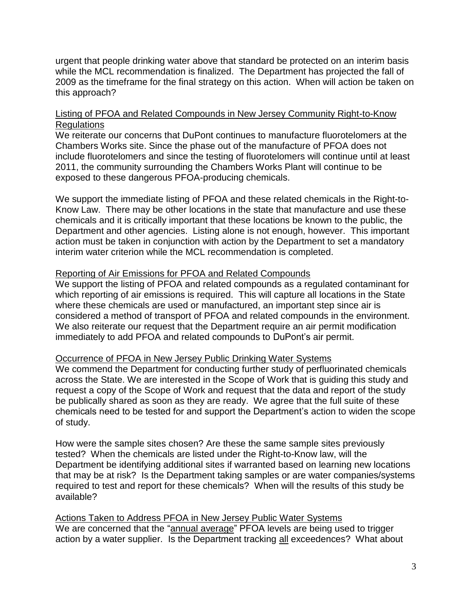urgent that people drinking water above that standard be protected on an interim basis while the MCL recommendation is finalized. The Department has projected the fall of 2009 as the timeframe for the final strategy on this action. When will action be taken on this approach?

# Listing of PFOA and Related Compounds in New Jersey Community Right-to-Know **Regulations**

We reiterate our concerns that DuPont continues to manufacture fluorotelomers at the Chambers Works site. Since the phase out of the manufacture of PFOA does not include fluorotelomers and since the testing of fluorotelomers will continue until at least 2011, the community surrounding the Chambers Works Plant will continue to be exposed to these dangerous PFOA-producing chemicals.

We support the immediate listing of PFOA and these related chemicals in the Right-to-Know Law. There may be other locations in the state that manufacture and use these chemicals and it is critically important that these locations be known to the public, the Department and other agencies. Listing alone is not enough, however. This important action must be taken in conjunction with action by the Department to set a mandatory interim water criterion while the MCL recommendation is completed.

## Reporting of Air Emissions for PFOA and Related Compounds

We support the listing of PFOA and related compounds as a regulated contaminant for which reporting of air emissions is required. This will capture all locations in the State where these chemicals are used or manufactured, an important step since air is considered a method of transport of PFOA and related compounds in the environment. We also reiterate our request that the Department require an air permit modification immediately to add PFOA and related compounds to DuPont's air permit.

## Occurrence of PFOA in New Jersey Public Drinking Water Systems

We commend the Department for conducting further study of perfluorinated chemicals across the State. We are interested in the Scope of Work that is guiding this study and request a copy of the Scope of Work and request that the data and report of the study be publically shared as soon as they are ready. We agree that the full suite of these chemicals need to be tested for and support the Department's action to widen the scope of study.

How were the sample sites chosen? Are these the same sample sites previously tested? When the chemicals are listed under the Right-to-Know law, will the Department be identifying additional sites if warranted based on learning new locations that may be at risk? Is the Department taking samples or are water companies/systems required to test and report for these chemicals? When will the results of this study be available?

Actions Taken to Address PFOA in New Jersey Public Water Systems We are concerned that the "annual average" PFOA levels are being used to trigger action by a water supplier. Is the Department tracking all exceedences? What about